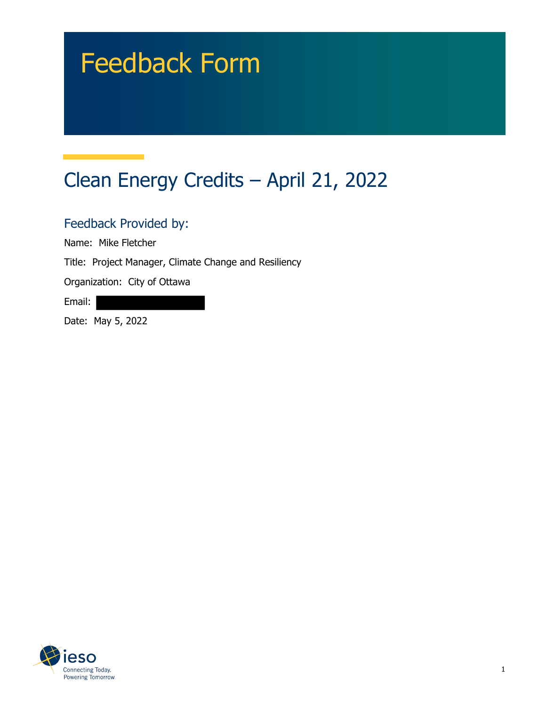# Feedback Form

## Clean Energy Credits – April 21, 2022

#### Feedback Provided by:

Name: Mike Fletcher

Title: Project Manager, Climate Change and Resiliency

Organization: City of Ottawa

Email:

Date: May 5, 2022

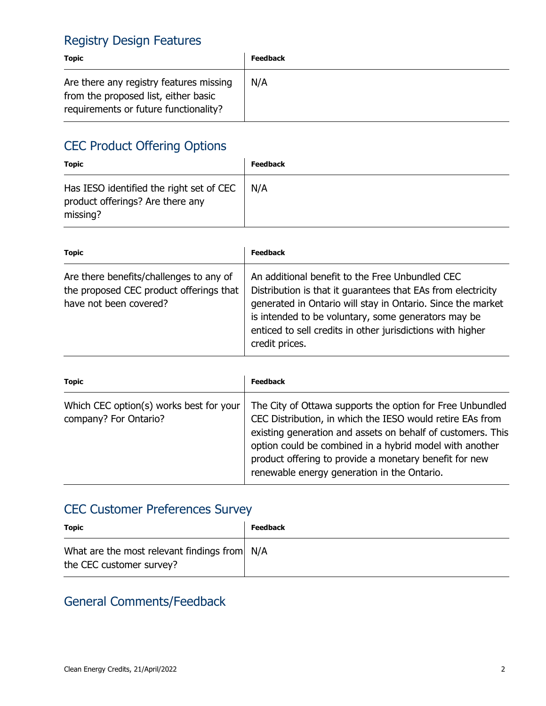#### Registry Design Features

| <b>Topic</b>                                                                                                             | <b>Feedback</b> |
|--------------------------------------------------------------------------------------------------------------------------|-----------------|
| Are there any registry features missing<br>from the proposed list, either basic<br>requirements or future functionality? | N/A             |

### CEC Product Offering Options

| <b>Topic</b>                                                                             | <b>Feedback</b> |
|------------------------------------------------------------------------------------------|-----------------|
| Has IESO identified the right set of CEC<br>product offerings? Are there any<br>missing? | N/A             |

| <b>Topic</b>                                                                                                 | <b>Feedback</b>                                                                                                                                                                                                                                                                                                       |
|--------------------------------------------------------------------------------------------------------------|-----------------------------------------------------------------------------------------------------------------------------------------------------------------------------------------------------------------------------------------------------------------------------------------------------------------------|
| Are there benefits/challenges to any of<br>the proposed CEC product offerings that<br>have not been covered? | An additional benefit to the Free Unbundled CEC<br>Distribution is that it guarantees that EAs from electricity<br>generated in Ontario will stay in Ontario. Since the market<br>is intended to be voluntary, some generators may be<br>enticed to sell credits in other jurisdictions with higher<br>credit prices. |

| <b>Topic</b>                                                     | <b>Feedback</b>                                                                                                                                                                                                                                                                                                                                           |
|------------------------------------------------------------------|-----------------------------------------------------------------------------------------------------------------------------------------------------------------------------------------------------------------------------------------------------------------------------------------------------------------------------------------------------------|
| Which CEC option(s) works best for your<br>company? For Ontario? | The City of Ottawa supports the option for Free Unbundled<br>CEC Distribution, in which the IESO would retire EAs from<br>existing generation and assets on behalf of customers. This<br>option could be combined in a hybrid model with another<br>product offering to provide a monetary benefit for new<br>renewable energy generation in the Ontario. |

#### CEC Customer Preferences Survey

| <b>Topic</b>                                                             | <b>Feedback</b> |
|--------------------------------------------------------------------------|-----------------|
| What are the most relevant findings from N/A<br>the CEC customer survey? |                 |

#### General Comments/Feedback